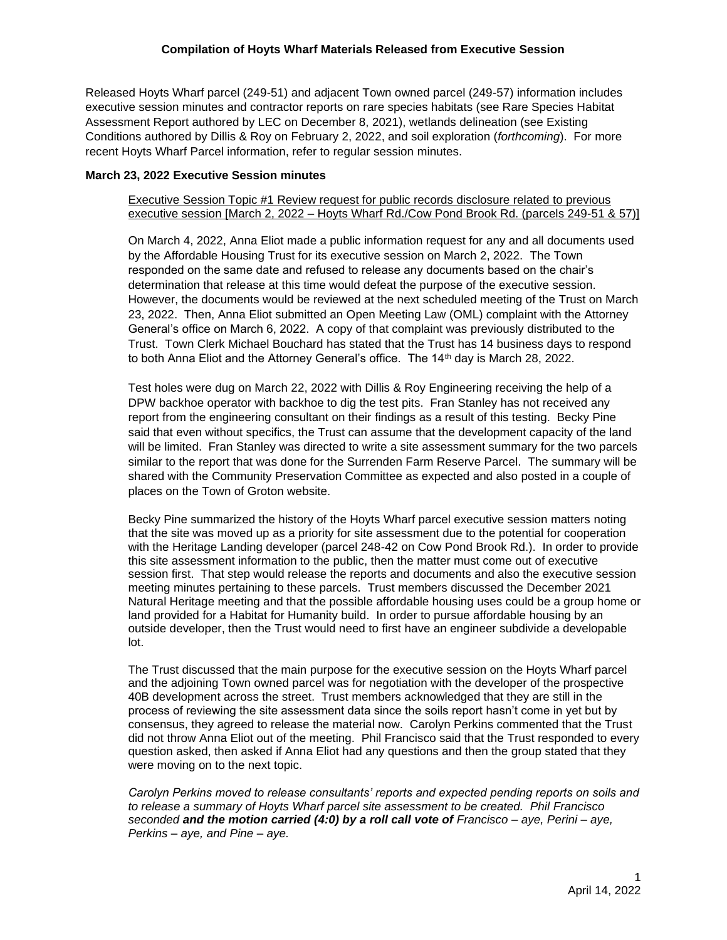Released Hoyts Wharf parcel (249-51) and adjacent Town owned parcel (249-57) information includes executive session minutes and contractor reports on rare species habitats (see Rare Species Habitat Assessment Report authored by LEC on December 8, 2021), wetlands delineation (see Existing Conditions authored by Dillis & Roy on February 2, 2022, and soil exploration (*forthcoming*). For more recent Hoyts Wharf Parcel information, refer to regular session minutes.

# **March 23, 2022 Executive Session minutes**

# Executive Session Topic #1 Review request for public records disclosure related to previous executive session [March 2, 2022 – Hoyts Wharf Rd./Cow Pond Brook Rd. (parcels 249-51 & 57)]

On March 4, 2022, Anna Eliot made a public information request for any and all documents used by the Affordable Housing Trust for its executive session on March 2, 2022. The Town responded on the same date and refused to release any documents based on the chair's determination that release at this time would defeat the purpose of the executive session. However, the documents would be reviewed at the next scheduled meeting of the Trust on March 23, 2022. Then, Anna Eliot submitted an Open Meeting Law (OML) complaint with the Attorney General's office on March 6, 2022. A copy of that complaint was previously distributed to the Trust. Town Clerk Michael Bouchard has stated that the Trust has 14 business days to respond to both Anna Eliot and the Attorney General's office. The 14<sup>th</sup> day is March 28, 2022.

Test holes were dug on March 22, 2022 with Dillis & Roy Engineering receiving the help of a DPW backhoe operator with backhoe to dig the test pits. Fran Stanley has not received any report from the engineering consultant on their findings as a result of this testing. Becky Pine said that even without specifics, the Trust can assume that the development capacity of the land will be limited. Fran Stanley was directed to write a site assessment summary for the two parcels similar to the report that was done for the Surrenden Farm Reserve Parcel. The summary will be shared with the Community Preservation Committee as expected and also posted in a couple of places on the Town of Groton website.

Becky Pine summarized the history of the Hoyts Wharf parcel executive session matters noting that the site was moved up as a priority for site assessment due to the potential for cooperation with the Heritage Landing developer (parcel 248-42 on Cow Pond Brook Rd.). In order to provide this site assessment information to the public, then the matter must come out of executive session first. That step would release the reports and documents and also the executive session meeting minutes pertaining to these parcels. Trust members discussed the December 2021 Natural Heritage meeting and that the possible affordable housing uses could be a group home or land provided for a Habitat for Humanity build. In order to pursue affordable housing by an outside developer, then the Trust would need to first have an engineer subdivide a developable lot.

The Trust discussed that the main purpose for the executive session on the Hoyts Wharf parcel and the adjoining Town owned parcel was for negotiation with the developer of the prospective 40B development across the street. Trust members acknowledged that they are still in the process of reviewing the site assessment data since the soils report hasn't come in yet but by consensus, they agreed to release the material now. Carolyn Perkins commented that the Trust did not throw Anna Eliot out of the meeting. Phil Francisco said that the Trust responded to every question asked, then asked if Anna Eliot had any questions and then the group stated that they were moving on to the next topic.

*Carolyn Perkins moved to release consultants' reports and expected pending reports on soils and to release a summary of Hoyts Wharf parcel site assessment to be created. Phil Francisco seconded and the motion carried (4:0) by a roll call vote of Francisco – aye, Perini – aye, Perkins – aye, and Pine – aye.*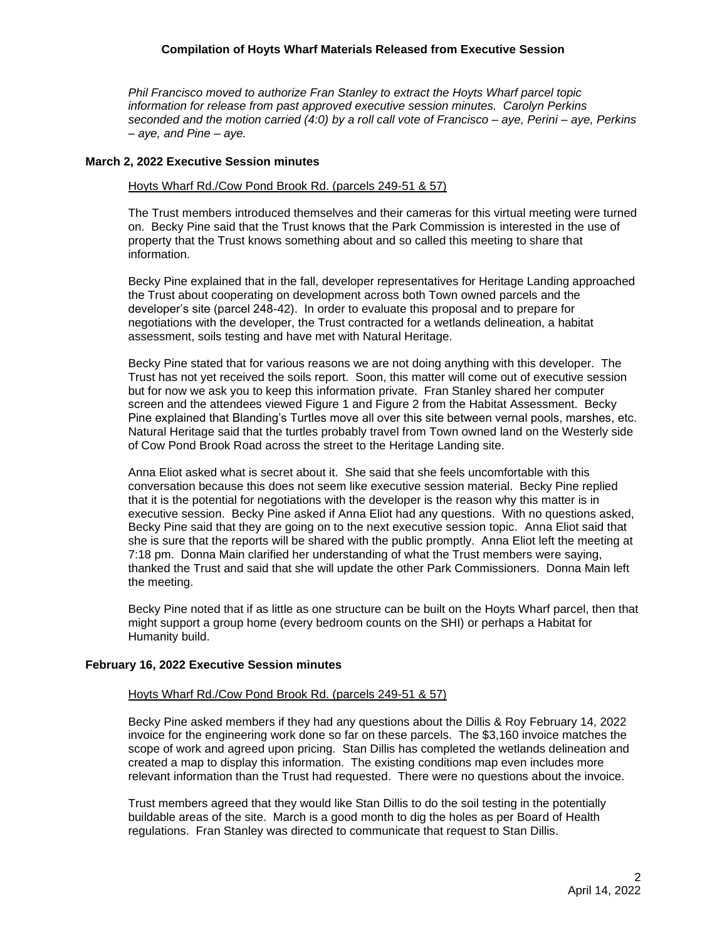# **Compilation of Hoyts Wharf Materials Released from Executive Session**

*Phil Francisco moved to authorize Fran Stanley to extract the Hoyts Wharf parcel topic information for release from past approved executive session minutes. Carolyn Perkins seconded and the motion carried (4:0) by a roll call vote of Francisco – aye, Perini – aye, Perkins – aye, and Pine – aye.*

#### **March 2, 2022 Executive Session minutes**

#### Hoyts Wharf Rd./Cow Pond Brook Rd. (parcels 249-51 & 57)

The Trust members introduced themselves and their cameras for this virtual meeting were turned on. Becky Pine said that the Trust knows that the Park Commission is interested in the use of property that the Trust knows something about and so called this meeting to share that information.

Becky Pine explained that in the fall, developer representatives for Heritage Landing approached the Trust about cooperating on development across both Town owned parcels and the developer's site (parcel 248-42). In order to evaluate this proposal and to prepare for negotiations with the developer, the Trust contracted for a wetlands delineation, a habitat assessment, soils testing and have met with Natural Heritage.

Becky Pine stated that for various reasons we are not doing anything with this developer. The Trust has not yet received the soils report. Soon, this matter will come out of executive session but for now we ask you to keep this information private. Fran Stanley shared her computer screen and the attendees viewed Figure 1 and Figure 2 from the Habitat Assessment. Becky Pine explained that Blanding's Turtles move all over this site between vernal pools, marshes, etc. Natural Heritage said that the turtles probably travel from Town owned land on the Westerly side of Cow Pond Brook Road across the street to the Heritage Landing site.

Anna Eliot asked what is secret about it. She said that she feels uncomfortable with this conversation because this does not seem like executive session material. Becky Pine replied that it is the potential for negotiations with the developer is the reason why this matter is in executive session. Becky Pine asked if Anna Eliot had any questions. With no questions asked, Becky Pine said that they are going on to the next executive session topic. Anna Eliot said that she is sure that the reports will be shared with the public promptly. Anna Eliot left the meeting at 7:18 pm. Donna Main clarified her understanding of what the Trust members were saying, thanked the Trust and said that she will update the other Park Commissioners. Donna Main left the meeting.

Becky Pine noted that if as little as one structure can be built on the Hoyts Wharf parcel, then that might support a group home (every bedroom counts on the SHI) or perhaps a Habitat for Humanity build.

#### **February 16, 2022 Executive Session minutes**

#### Hoyts Wharf Rd./Cow Pond Brook Rd. (parcels 249-51 & 57)

Becky Pine asked members if they had any questions about the Dillis & Roy February 14, 2022 invoice for the engineering work done so far on these parcels. The \$3,160 invoice matches the scope of work and agreed upon pricing. Stan Dillis has completed the wetlands delineation and created a map to display this information. The existing conditions map even includes more relevant information than the Trust had requested. There were no questions about the invoice.

Trust members agreed that they would like Stan Dillis to do the soil testing in the potentially buildable areas of the site. March is a good month to dig the holes as per Board of Health regulations. Fran Stanley was directed to communicate that request to Stan Dillis.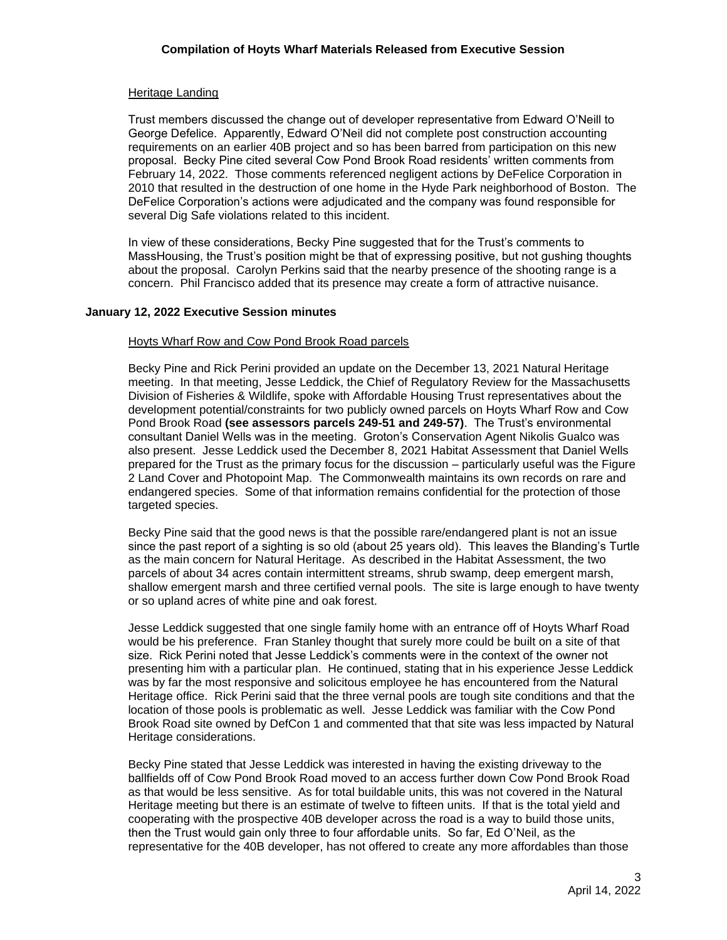# Heritage Landing

Trust members discussed the change out of developer representative from Edward O'Neill to George Defelice. Apparently, Edward O'Neil did not complete post construction accounting requirements on an earlier 40B project and so has been barred from participation on this new proposal. Becky Pine cited several Cow Pond Brook Road residents' written comments from February 14, 2022. Those comments referenced negligent actions by DeFelice Corporation in 2010 that resulted in the destruction of one home in the Hyde Park neighborhood of Boston. The DeFelice Corporation's actions were adjudicated and the company was found responsible for several Dig Safe violations related to this incident.

In view of these considerations, Becky Pine suggested that for the Trust's comments to MassHousing, the Trust's position might be that of expressing positive, but not gushing thoughts about the proposal. Carolyn Perkins said that the nearby presence of the shooting range is a concern. Phil Francisco added that its presence may create a form of attractive nuisance.

# **January 12, 2022 Executive Session minutes**

# Hoyts Wharf Row and Cow Pond Brook Road parcels

Becky Pine and Rick Perini provided an update on the December 13, 2021 Natural Heritage meeting. In that meeting, Jesse Leddick, the Chief of Regulatory Review for the Massachusetts Division of Fisheries & Wildlife, spoke with Affordable Housing Trust representatives about the development potential/constraints for two publicly owned parcels on Hoyts Wharf Row and Cow Pond Brook Road **(see assessors parcels 249-51 and 249-57)**. The Trust's environmental consultant Daniel Wells was in the meeting. Groton's Conservation Agent Nikolis Gualco was also present. Jesse Leddick used the December 8, 2021 Habitat Assessment that Daniel Wells prepared for the Trust as the primary focus for the discussion – particularly useful was the Figure 2 Land Cover and Photopoint Map. The Commonwealth maintains its own records on rare and endangered species. Some of that information remains confidential for the protection of those targeted species.

Becky Pine said that the good news is that the possible rare/endangered plant is not an issue since the past report of a sighting is so old (about 25 years old). This leaves the Blanding's Turtle as the main concern for Natural Heritage. As described in the Habitat Assessment, the two parcels of about 34 acres contain intermittent streams, shrub swamp, deep emergent marsh, shallow emergent marsh and three certified vernal pools. The site is large enough to have twenty or so upland acres of white pine and oak forest.

Jesse Leddick suggested that one single family home with an entrance off of Hoyts Wharf Road would be his preference. Fran Stanley thought that surely more could be built on a site of that size. Rick Perini noted that Jesse Leddick's comments were in the context of the owner not presenting him with a particular plan. He continued, stating that in his experience Jesse Leddick was by far the most responsive and solicitous employee he has encountered from the Natural Heritage office. Rick Perini said that the three vernal pools are tough site conditions and that the location of those pools is problematic as well. Jesse Leddick was familiar with the Cow Pond Brook Road site owned by DefCon 1 and commented that that site was less impacted by Natural Heritage considerations.

Becky Pine stated that Jesse Leddick was interested in having the existing driveway to the ballfields off of Cow Pond Brook Road moved to an access further down Cow Pond Brook Road as that would be less sensitive. As for total buildable units, this was not covered in the Natural Heritage meeting but there is an estimate of twelve to fifteen units. If that is the total yield and cooperating with the prospective 40B developer across the road is a way to build those units, then the Trust would gain only three to four affordable units. So far, Ed O'Neil, as the representative for the 40B developer, has not offered to create any more affordables than those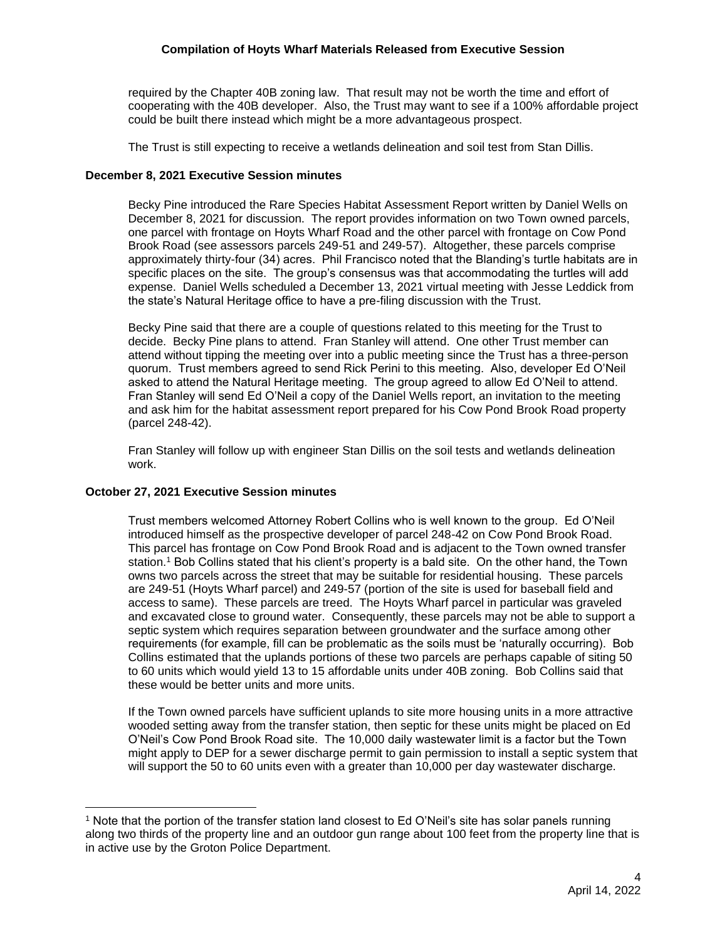required by the Chapter 40B zoning law. That result may not be worth the time and effort of cooperating with the 40B developer. Also, the Trust may want to see if a 100% affordable project could be built there instead which might be a more advantageous prospect.

The Trust is still expecting to receive a wetlands delineation and soil test from Stan Dillis.

# **December 8, 2021 Executive Session minutes**

Becky Pine introduced the Rare Species Habitat Assessment Report written by Daniel Wells on December 8, 2021 for discussion. The report provides information on two Town owned parcels, one parcel with frontage on Hoyts Wharf Road and the other parcel with frontage on Cow Pond Brook Road (see assessors parcels 249-51 and 249-57). Altogether, these parcels comprise approximately thirty-four (34) acres. Phil Francisco noted that the Blanding's turtle habitats are in specific places on the site. The group's consensus was that accommodating the turtles will add expense. Daniel Wells scheduled a December 13, 2021 virtual meeting with Jesse Leddick from the state's Natural Heritage office to have a pre-filing discussion with the Trust.

Becky Pine said that there are a couple of questions related to this meeting for the Trust to decide. Becky Pine plans to attend. Fran Stanley will attend. One other Trust member can attend without tipping the meeting over into a public meeting since the Trust has a three-person quorum. Trust members agreed to send Rick Perini to this meeting. Also, developer Ed O'Neil asked to attend the Natural Heritage meeting. The group agreed to allow Ed O'Neil to attend. Fran Stanley will send Ed O'Neil a copy of the Daniel Wells report, an invitation to the meeting and ask him for the habitat assessment report prepared for his Cow Pond Brook Road property (parcel 248-42).

Fran Stanley will follow up with engineer Stan Dillis on the soil tests and wetlands delineation work.

#### **October 27, 2021 Executive Session minutes**

Trust members welcomed Attorney Robert Collins who is well known to the group. Ed O'Neil introduced himself as the prospective developer of parcel 248-42 on Cow Pond Brook Road. This parcel has frontage on Cow Pond Brook Road and is adjacent to the Town owned transfer station.<sup>1</sup> Bob Collins stated that his client's property is a bald site. On the other hand, the Town owns two parcels across the street that may be suitable for residential housing. These parcels are 249-51 (Hoyts Wharf parcel) and 249-57 (portion of the site is used for baseball field and access to same). These parcels are treed. The Hoyts Wharf parcel in particular was graveled and excavated close to ground water. Consequently, these parcels may not be able to support a septic system which requires separation between groundwater and the surface among other requirements (for example, fill can be problematic as the soils must be 'naturally occurring). Bob Collins estimated that the uplands portions of these two parcels are perhaps capable of siting 50 to 60 units which would yield 13 to 15 affordable units under 40B zoning. Bob Collins said that these would be better units and more units.

If the Town owned parcels have sufficient uplands to site more housing units in a more attractive wooded setting away from the transfer station, then septic for these units might be placed on Ed O'Neil's Cow Pond Brook Road site. The 10,000 daily wastewater limit is a factor but the Town might apply to DEP for a sewer discharge permit to gain permission to install a septic system that will support the 50 to 60 units even with a greater than 10,000 per day wastewater discharge.

<sup>1</sup> Note that the portion of the transfer station land closest to Ed O'Neil's site has solar panels running along two thirds of the property line and an outdoor gun range about 100 feet from the property line that is in active use by the Groton Police Department.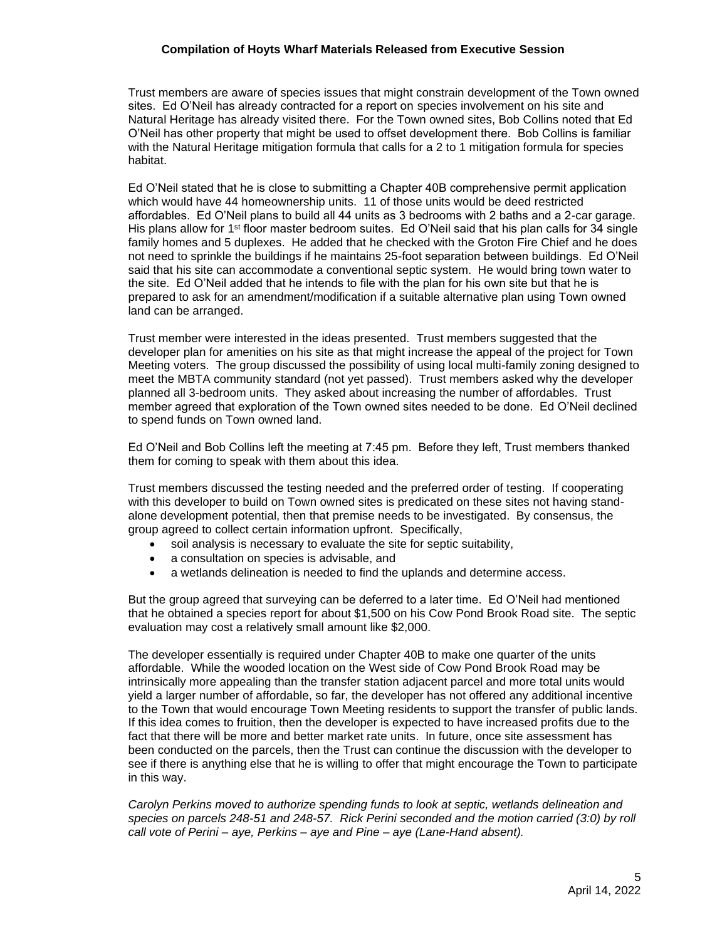#### **Compilation of Hoyts Wharf Materials Released from Executive Session**

Trust members are aware of species issues that might constrain development of the Town owned sites. Ed O'Neil has already contracted for a report on species involvement on his site and Natural Heritage has already visited there. For the Town owned sites, Bob Collins noted that Ed O'Neil has other property that might be used to offset development there. Bob Collins is familiar with the Natural Heritage mitigation formula that calls for a 2 to 1 mitigation formula for species habitat.

Ed O'Neil stated that he is close to submitting a Chapter 40B comprehensive permit application which would have 44 homeownership units. 11 of those units would be deed restricted affordables. Ed O'Neil plans to build all 44 units as 3 bedrooms with 2 baths and a 2-car garage. His plans allow for  $1<sup>st</sup>$  floor master bedroom suites. Ed O'Neil said that his plan calls for 34 single family homes and 5 duplexes. He added that he checked with the Groton Fire Chief and he does not need to sprinkle the buildings if he maintains 25-foot separation between buildings. Ed O'Neil said that his site can accommodate a conventional septic system. He would bring town water to the site. Ed O'Neil added that he intends to file with the plan for his own site but that he is prepared to ask for an amendment/modification if a suitable alternative plan using Town owned land can be arranged.

Trust member were interested in the ideas presented. Trust members suggested that the developer plan for amenities on his site as that might increase the appeal of the project for Town Meeting voters. The group discussed the possibility of using local multi-family zoning designed to meet the MBTA community standard (not yet passed). Trust members asked why the developer planned all 3-bedroom units. They asked about increasing the number of affordables. Trust member agreed that exploration of the Town owned sites needed to be done. Ed O'Neil declined to spend funds on Town owned land.

Ed O'Neil and Bob Collins left the meeting at 7:45 pm. Before they left, Trust members thanked them for coming to speak with them about this idea.

Trust members discussed the testing needed and the preferred order of testing. If cooperating with this developer to build on Town owned sites is predicated on these sites not having standalone development potential, then that premise needs to be investigated. By consensus, the group agreed to collect certain information upfront. Specifically,

- soil analysis is necessary to evaluate the site for septic suitability,
- a consultation on species is advisable, and
- a wetlands delineation is needed to find the uplands and determine access.

But the group agreed that surveying can be deferred to a later time. Ed O'Neil had mentioned that he obtained a species report for about \$1,500 on his Cow Pond Brook Road site. The septic evaluation may cost a relatively small amount like \$2,000.

The developer essentially is required under Chapter 40B to make one quarter of the units affordable. While the wooded location on the West side of Cow Pond Brook Road may be intrinsically more appealing than the transfer station adjacent parcel and more total units would yield a larger number of affordable, so far, the developer has not offered any additional incentive to the Town that would encourage Town Meeting residents to support the transfer of public lands. If this idea comes to fruition, then the developer is expected to have increased profits due to the fact that there will be more and better market rate units. In future, once site assessment has been conducted on the parcels, then the Trust can continue the discussion with the developer to see if there is anything else that he is willing to offer that might encourage the Town to participate in this way.

*Carolyn Perkins moved to authorize spending funds to look at septic, wetlands delineation and species on parcels 248-51 and 248-57. Rick Perini seconded and the motion carried (3:0) by roll call vote of Perini – aye, Perkins – aye and Pine – aye (Lane-Hand absent).*